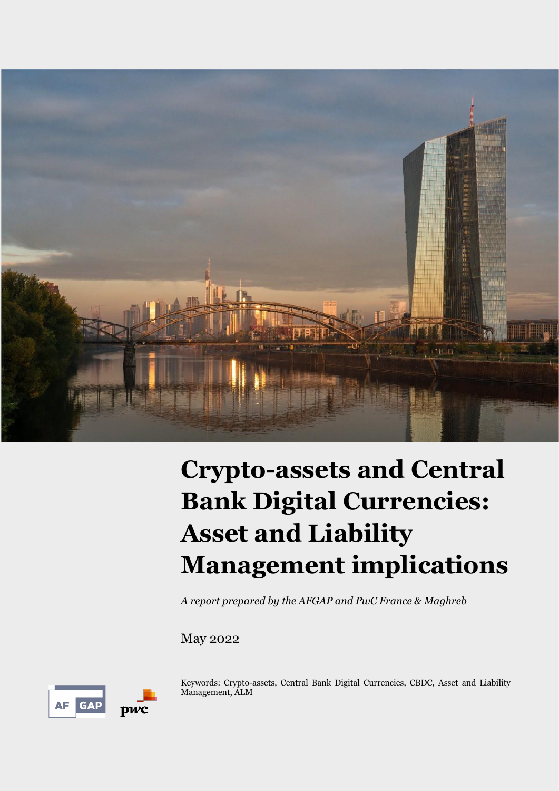

# **Crypto-assets and Central Bank Digital Currencies: Asset and Liability Management implications**

*A report prepared by the AFGAP and PwC France & Maghreb*

May 2022

AF GAP DWC

Keywords: Crypto-assets, Central Bank Digital Currencies, CBDC, Asset and Liability Management, ALM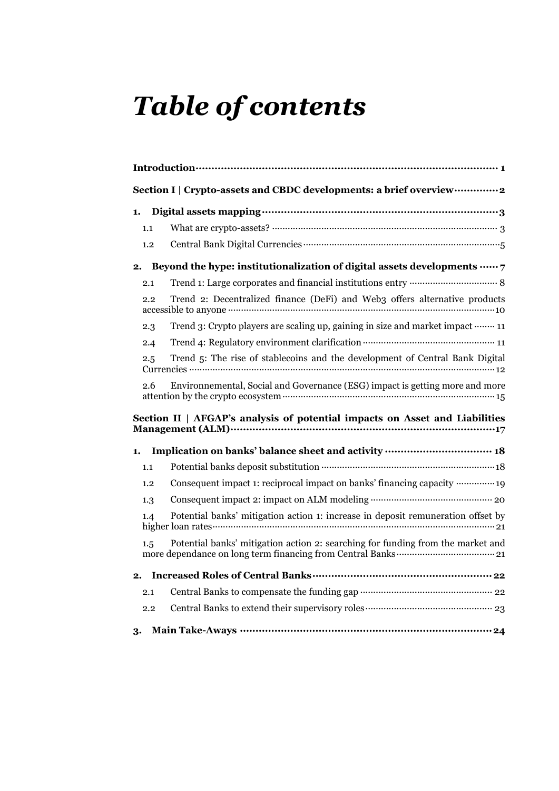# *Table of contents*

|         | Section I   Crypto-assets and CBDC developments: a brief overview  2             |
|---------|----------------------------------------------------------------------------------|
| 1.      |                                                                                  |
| 1.1     |                                                                                  |
| 1.2     |                                                                                  |
| 2.      | Beyond the hype: institutionalization of digital assets developments  7          |
| 2.1     |                                                                                  |
| 2.2     | Trend 2: Decentralized finance (DeFi) and Web3 offers alternative products       |
| 2.3     | Trend 3: Crypto players are scaling up, gaining in size and market impact  11    |
| 2.4     |                                                                                  |
| $2.5\,$ | Trend 5: The rise of stablecoins and the development of Central Bank Digital     |
| 2.6     | Environnemental, Social and Governance (ESG) impact is getting more and more     |
|         | Section II   AFGAP's analysis of potential impacts on Asset and Liabilities      |
| 1.      | Implication on banks' balance sheet and activity ……………………………… 18                 |
| 1.1     |                                                                                  |
| 1.2     | Consequent impact 1: reciprocal impact on banks' financing capacity  19          |
| 1.3     |                                                                                  |
| 1.4     | Potential banks' mitigation action 1: increase in deposit remuneration offset by |
| 1.5     | Potential banks' mitigation action 2: searching for funding from the market and  |
| 2.      |                                                                                  |
| 2.1     |                                                                                  |
| 2.2     |                                                                                  |
| 3.      |                                                                                  |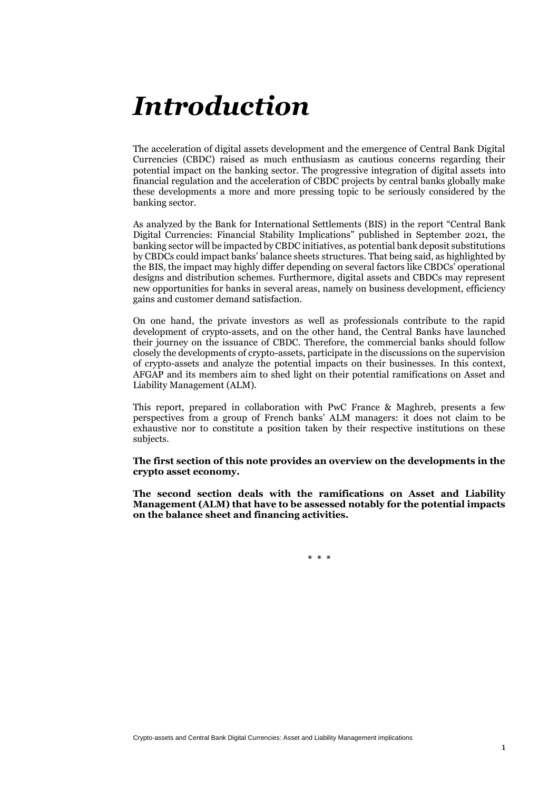# <span id="page-2-0"></span>*Introduction*

The acceleration of digital assets development and the emergence of Central Bank Digital Currencies (CBDC) raised as much enthusiasm as cautious concerns regarding their potential impact on the banking sector. The progressive integration of digital assets into financial regulation and the acceleration of CBDC projects by central banks globally make these developments a more and more pressing topic to be seriously considered by the banking sector.

As analyzed by the Bank for International Settlements (BIS) in the report "Central Bank Digital Currencies: Financial Stability Implications" published in September 2021, the banking sector will be impacted by CBDC initiatives, as potential bank deposit substitutions by CBDCs could impact banks' balance sheets structures. That being said, as highlighted by the BIS, the impact may highly differ depending on several factors like CBDCs' operational designs and distribution schemes. Furthermore, digital assets and CBDCs may represent new opportunities for banks in several areas, namely on business development, efficiency gains and customer demand satisfaction.

On one hand, the private investors as well as professionals contribute to the rapid development of crypto-assets, and on the other hand, the Central Banks have launched their journey on the issuance of CBDC. Therefore, the commercial banks should follow closely the developments of crypto-assets, participate in the discussions on the supervision of crypto-assets and analyze the potential impacts on their businesses. In this context, AFGAP and its members aim to shed light on their potential ramifications on Asset and Liability Management (ALM).

This report, prepared in collaboration with PwC France & Maghreb, presents a few perspectives from a group of French banks' ALM managers: it does not claim to be exhaustive nor to constitute a position taken by their respective institutions on these subjects.

**The first section of this note provides an overview on the developments in the crypto asset economy.**

**The second section deals with the ramifications on Asset and Liability Management (ALM) that have to be assessed notably for the potential impacts on the balance sheet and financing activities.** 

**\* \* \***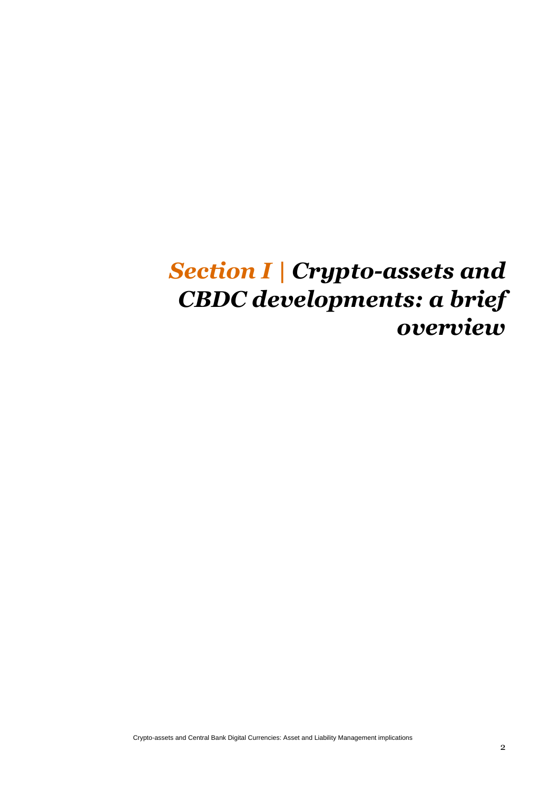## <span id="page-3-0"></span>*Section I | Crypto-assets and CBDC developments: a brief overview*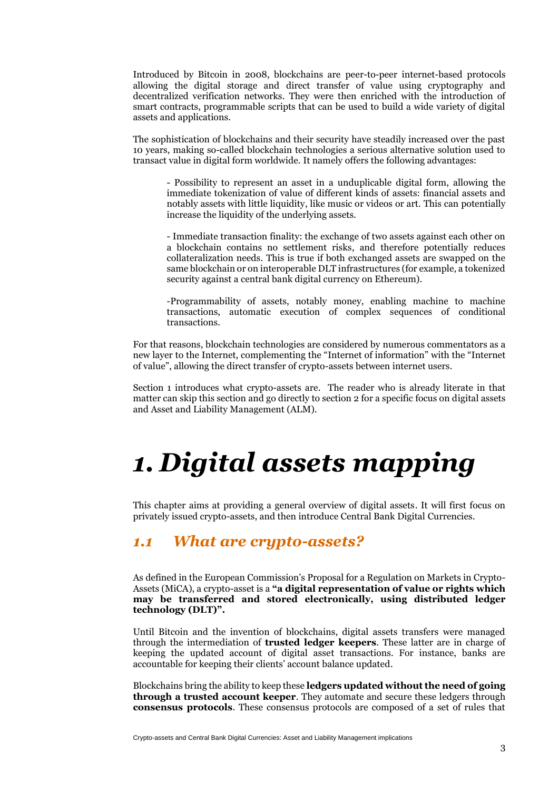Introduced by Bitcoin in 2008, blockchains are peer-to-peer internet-based protocols allowing the digital storage and direct transfer of value using cryptography and decentralized verification networks. They were then enriched with the introduction of smart contracts, programmable scripts that can be used to build a wide variety of digital assets and applications.

The sophistication of blockchains and their security have steadily increased over the past 10 years, making so-called blockchain technologies a serious alternative solution used to transact value in digital form worldwide. It namely offers the following advantages:

- Possibility to represent an asset in a unduplicable digital form, allowing the immediate tokenization of value of different kinds of assets: financial assets and notably assets with little liquidity, like music or videos or art. This can potentially increase the liquidity of the underlying assets.

- Immediate transaction finality: the exchange of two assets against each other on a blockchain contains no settlement risks, and therefore potentially reduces collateralization needs. This is true if both exchanged assets are swapped on the same blockchain or on interoperable DLT infrastructures (for example, a tokenized security against a central bank digital currency on Ethereum).

-Programmability of assets, notably money, enabling machine to machine transactions, automatic execution of complex sequences of conditional transactions.

For that reasons, blockchain technologies are considered by numerous commentators as a new layer to the Internet, complementing the "Internet of information" with the "Internet of value", allowing the direct transfer of crypto-assets between internet users.

Section 1 introduces what crypto-assets are. The reader who is already literate in that matter can skip this section and go directly to section 2 for a specific focus on digital assets and Asset and Liability Management (ALM).

# <span id="page-4-0"></span>*1. Digital assets mapping*

This chapter aims at providing a general overview of digital assets. It will first focus on privately issued crypto-assets, and then introduce Central Bank Digital Currencies.

### <span id="page-4-1"></span>*1.1 What are crypto-assets?*

As defined in the European Commission's Proposal for a Regulation on Markets in Crypto-Assets (MiCA), a crypto-asset is a **"a digital representation of value or rights which may be transferred and stored electronically, using distributed ledger technology (DLT)".**

Until Bitcoin and the invention of blockchains, digital assets transfers were managed through the intermediation of **trusted ledger keepers**. These latter are in charge of keeping the updated account of digital asset transactions. For instance, banks are accountable for keeping their clients' account balance updated.

Blockchains bring the ability to keep these **ledgers updated without the need of going through a trusted account keeper**. They automate and secure these ledgers through **consensus protocols**. These consensus protocols are composed of a set of rules that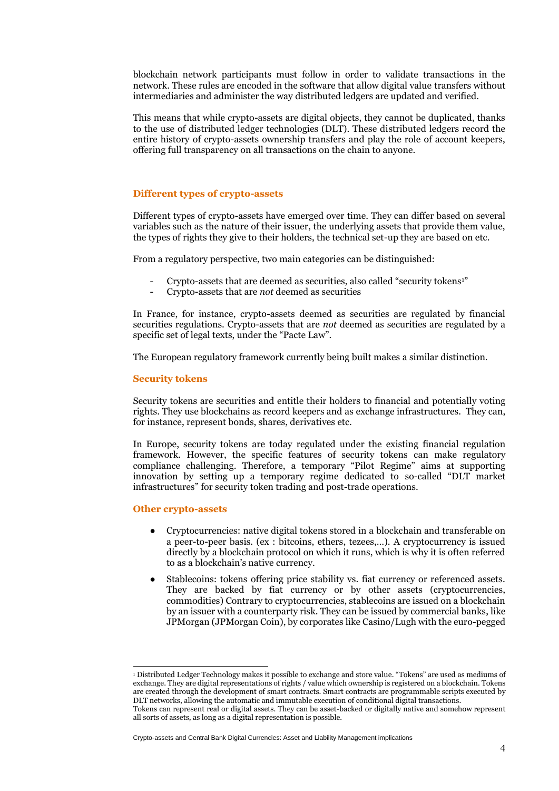blockchain network participants must follow in order to validate transactions in the network. These rules are encoded in the software that allow digital value transfers without intermediaries and administer the way distributed ledgers are updated and verified.

This means that while crypto-assets are digital objects, they cannot be duplicated, thanks to the use of distributed ledger technologies (DLT). These distributed ledgers record the entire history of crypto-assets ownership transfers and play the role of account keepers, offering full transparency on all transactions on the chain to anyone.

#### **Different types of crypto-assets**

Different types of crypto-assets have emerged over time. They can differ based on several variables such as the nature of their issuer, the underlying assets that provide them value, the types of rights they give to their holders, the technical set-up they are based on etc.

From a regulatory perspective, two main categories can be distinguished:

- Crypto-assets that are deemed as securities, also called "security tokens<sup>1"</sup>
- Crypto-assets that are *not* deemed as securities

In France, for instance, crypto-assets deemed as securities are regulated by financial securities regulations. Crypto-assets that are *not* deemed as securities are regulated by a specific set of legal texts, under the "Pacte Law".

The European regulatory framework currently being built makes a similar distinction.

#### **Security tokens**

Security tokens are securities and entitle their holders to financial and potentially voting rights. They use blockchains as record keepers and as exchange infrastructures. They can, for instance, represent bonds, shares, derivatives etc.

In Europe, security tokens are today regulated under the existing financial regulation framework. However, the specific features of security tokens can make regulatory compliance challenging. Therefore, a temporary "Pilot Regime" aims at supporting innovation by setting up a temporary regime dedicated to so-called "DLT market infrastructures" for security token trading and post-trade operations.

#### **Other crypto-assets**

- Cryptocurrencies: native digital tokens stored in a blockchain and transferable on a peer-to-peer basis. (ex : bitcoins, ethers, tezees,…). A cryptocurrency is issued directly by a blockchain protocol on which it runs, which is why it is often referred to as a blockchain's native currency.
- Stablecoins: tokens offering price stability vs. fiat currency or referenced assets. They are backed by fiat currency or by other assets (cryptocurrencies, commodities) Contrary to cryptocurrencies, stablecoins are issued on a blockchain by an issuer with a counterparty risk. They can be issued by commercial banks, like JPMorgan (JPMorgan Coin), by corporates like Casino/Lugh with the euro-pegged

<sup>1</sup> Distributed Ledger Technology makes it possible to exchange and store value. "Tokens" are used as mediums of exchange. They are digital representations of rights / value which ownership is registered on a blockchain. Tokens are created through the development of smart contracts. Smart contracts are programmable scripts executed by DLT networks, allowing the automatic and immutable execution of conditional digital transactions. Tokens can represent real or digital assets. They can be asset-backed or digitally native and somehow represent all sorts of assets, as long as a digital representation is possible.

Crypto-assets and Central Bank Digital Currencies: Asset and Liability Management implications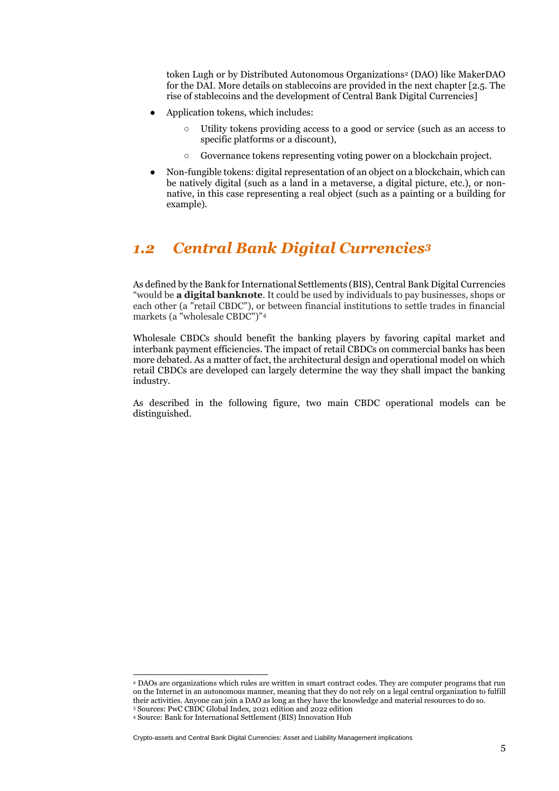token Lugh or by Distributed Autonomous Organizations<sup>2</sup> (DAO) like MakerDAO for the DAI. More details on stablecoins are provided in the next chapter [2.5. The rise of stablecoins and the development of Central Bank Digital Currencies]

- Application tokens, which includes:
	- Utility tokens providing access to a good or service (such as an access to specific platforms or a discount),
	- Governance tokens representing voting power on a blockchain project.
- Non-fungible tokens: digital representation of an object on a blockchain, which can be natively digital (such as a land in a metaverse, a digital picture, etc.), or nonnative, in this case representing a real object (such as a painting or a building for example).

### <span id="page-6-0"></span>*1.2 Central Bank Digital Currencies<sup>3</sup>*

As defined by the Bank for International Settlements (BIS), Central Bank Digital Currencies "would be **a digital banknote**. It could be used by individuals to pay businesses, shops or each other (a "retail CBDC"), or between financial institutions to settle trades in financial markets (a "wholesale CBDC")"<sup>4</sup>

Wholesale CBDCs should benefit the banking players by favoring capital market and interbank payment efficiencies. The impact of retail CBDCs on commercial banks has been more debated. As a matter of fact, the architectural design and operational model on which retail CBDCs are developed can largely determine the way they shall impact the banking industry.

As described in the following figure, two main CBDC operational models can be distinguished.

<sup>2</sup> DAOs are organizations which rules are written in smart contract codes. They are computer programs that run on the Internet in an autonomous manner, meaning that they do not rely on a legal central organization to fulfill their activities. Anyone can join a DAO as long as they have the knowledge and material resources to do so. <sup>3</sup> Sources: PwC CBDC Global Index, 2021 edition and 2022 edition

<sup>4</sup> Source: Bank for International Settlement (BIS) Innovation Hub

Crypto-assets and Central Bank Digital Currencies: Asset and Liability Management implications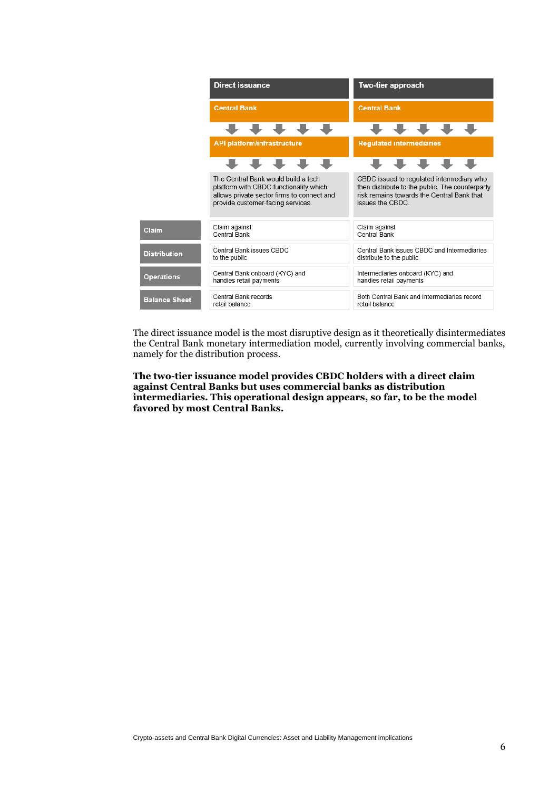|                      | <b>Direct issuance</b>                                                                                                                                           | Two-tier approach                                                                                                                                             |  |  |  |  |  |  |
|----------------------|------------------------------------------------------------------------------------------------------------------------------------------------------------------|---------------------------------------------------------------------------------------------------------------------------------------------------------------|--|--|--|--|--|--|
|                      | <b>Central Bank</b>                                                                                                                                              | <b>Central Bank</b>                                                                                                                                           |  |  |  |  |  |  |
|                      |                                                                                                                                                                  |                                                                                                                                                               |  |  |  |  |  |  |
|                      | <b>API platform/infrastructure</b>                                                                                                                               | <b>Regulated intermediaries</b>                                                                                                                               |  |  |  |  |  |  |
|                      |                                                                                                                                                                  |                                                                                                                                                               |  |  |  |  |  |  |
|                      | The Central Bank would build a tech<br>platform with CBDC functionality which<br>allows private sector firms to connect and<br>provide customer-facing services. | CBDC issued to regulated intermediary who<br>then distribute to the public. The counterparty<br>risk remains towards the Central Bank that<br>issues the CBDC |  |  |  |  |  |  |
| Claim                | Claim against<br>Central Bank                                                                                                                                    | Claim against<br>Central Bank                                                                                                                                 |  |  |  |  |  |  |
| <b>Distribution</b>  | Central Bank issues CBDC<br>to the public                                                                                                                        | Central Bank issues CBDC and Intermediaries<br>distribute to the public                                                                                       |  |  |  |  |  |  |
| <b>Operations</b>    | Central Bank onboard (KYC) and<br>handles retail payments                                                                                                        | Intermediaries onboard (KYC) and<br>handles retail payments                                                                                                   |  |  |  |  |  |  |
| <b>Balance Sheet</b> | Central Bank records<br>retail balance                                                                                                                           | Both Central Bank and Intermediaries record<br>retail balance                                                                                                 |  |  |  |  |  |  |

The direct issuance model is the most disruptive design as it theoretically disintermediates the Central Bank monetary intermediation model, currently involving commercial banks, namely for the distribution process.

**The two-tier issuance model provides CBDC holders with a direct claim against Central Banks but uses commercial banks as distribution intermediaries. This operational design appears, so far, to be the model favored by most Central Banks.**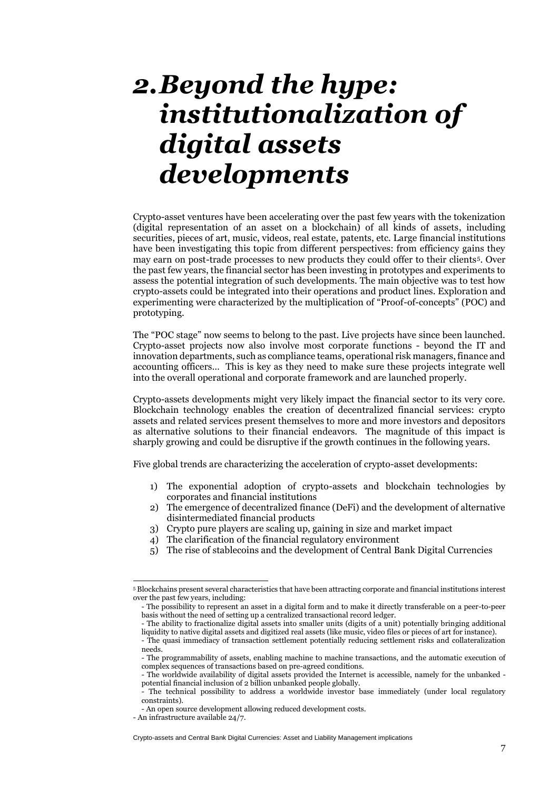## <span id="page-8-0"></span>*2.Beyond the hype: institutionalization of digital assets developments*

Crypto-asset ventures have been accelerating over the past few years with the tokenization (digital representation of an asset on a blockchain) of all kinds of assets, including securities, pieces of art, music, videos, real estate, patents, etc. Large financial institutions have been investigating this topic from different perspectives: from efficiency gains they may earn on post-trade processes to new products they could offer to their clients5. Over the past few years, the financial sector has been investing in prototypes and experiments to assess the potential integration of such developments. The main objective was to test how crypto-assets could be integrated into their operations and product lines. Exploration and experimenting were characterized by the multiplication of "Proof-of-concepts" (POC) and prototyping.

The "POC stage" now seems to belong to the past. Live projects have since been launched. Crypto-asset projects now also involve most corporate functions - beyond the IT and innovation departments, such as compliance teams, operational risk managers, finance and accounting officers… This is key as they need to make sure these projects integrate well into the overall operational and corporate framework and are launched properly.

Crypto-assets developments might very likely impact the financial sector to its very core. Blockchain technology enables the creation of decentralized financial services: crypto assets and related services present themselves to more and more investors and depositors as alternative solutions to their financial endeavors. The magnitude of this impact is sharply growing and could be disruptive if the growth continues in the following years.

Five global trends are characterizing the acceleration of crypto-asset developments:

- 1) The exponential adoption of crypto-assets and blockchain technologies by corporates and financial institutions
- 2) The emergence of decentralized finance (DeFi) and the development of alternative disintermediated financial products
- 3) Crypto pure players are scaling up, gaining in size and market impact
- 4) The clarification of the financial regulatory environment
- 5) The rise of stablecoins and the development of Central Bank Digital Currencies

<sup>5</sup> Blockchains present several characteristics that have been attracting corporate and financial institutions interest over the past few years, including:

<sup>-</sup> The possibility to represent an asset in a digital form and to make it directly transferable on a peer-to-peer basis without the need of setting up a centralized transactional record ledger.

<sup>-</sup> The ability to fractionalize digital assets into smaller units (digits of a unit) potentially bringing additional liquidity to native digital assets and digitized real assets (like music, video files or pieces of art for instance). - The quasi immediacy of transaction settlement potentially reducing settlement risks and collateralization

needs. - The programmability of assets, enabling machine to machine transactions, and the automatic execution of

complex sequences of transactions based on pre-agreed conditions.

<sup>-</sup> The worldwide availability of digital assets provided the Internet is accessible, namely for the unbanked potential financial inclusion of 2 billion unbanked people globally.

The technical possibility to address a worldwide investor base immediately (under local regulatory constraints).

<sup>-</sup> An open source development allowing reduced development costs.

<sup>-</sup> An infrastructure available 24/7.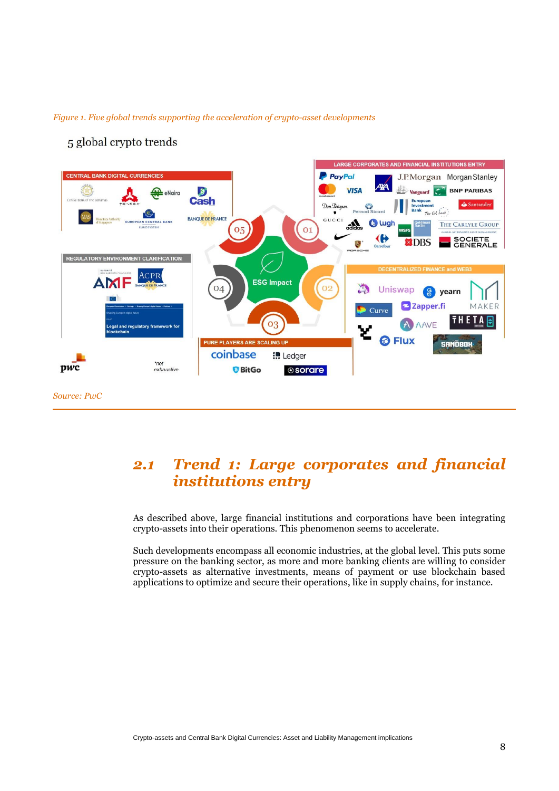



#### 5 global crypto trends

## <span id="page-9-0"></span>*2.1 Trend 1: Large corporates and financial institutions entry*

As described above, large financial institutions and corporations have been integrating crypto-assets into their operations. This phenomenon seems to accelerate.

Such developments encompass all economic industries, at the global level. This puts some pressure on the banking sector, as more and more banking clients are willing to consider crypto-assets as alternative investments, means of payment or use blockchain based applications to optimize and secure their operations, like in supply chains, for instance.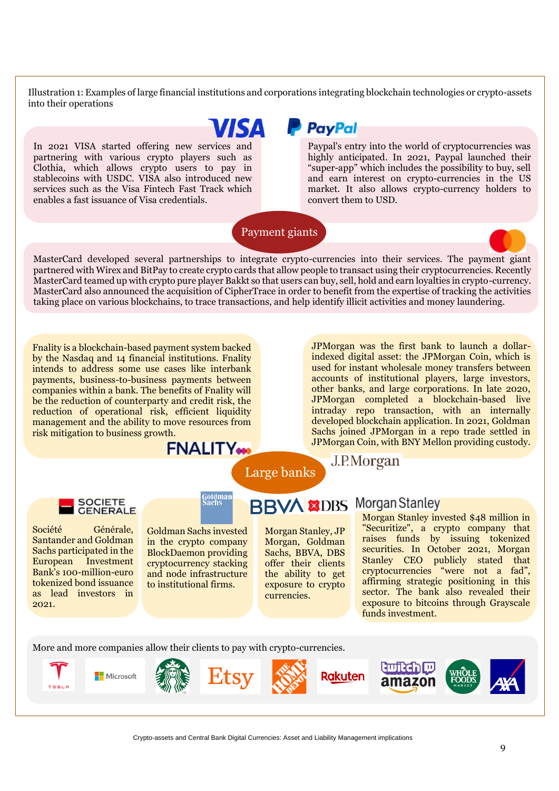Illustration 1: Examples of large financial institutions and corporations integrating blockchain technologies or crypto-assets into their operations

ISA

In 2021 VISA started offering new services and partnering with various crypto players such as Clothia, which allows crypto users to pay in stablecoins with USDC. VISA also introduced new services such as the Visa Fintech Fast Track which enables a fast issuance of Visa credentials.

 $\overline{a}$ 

## **P** PayPal

Paypal's entry into the world of cryptocurrencies was highly anticipated. In 2021, Paypal launched their "super-app" which includes the possibility to buy, sell and earn interest on crypto-currencies in the US market. It also allows crypto-currency holders to convert them to USD.

Payment giants



Fnality is a blockchain-based payment system backed by the Nasdaq and 14 financial institutions. Fnality intends to address some use cases like interbank payments, business-to-business payments between companies within a bank. The benefits of Fnality will be the reduction of counterparty and credit risk, the reduction of operational risk, efficient liquidity management and the ability to move resources from risk mitigation to business growth.

JPMorgan was the first bank to launch a dollarindexed digital asset: the JPMorgan Coin, which is used for instant wholesale money transfers between accounts of institutional players, large investors, other banks, and large corporations. In late 2020, JPMorgan completed a blockchain-based live intraday repo transaction, with an internally developed blockchain application. In 2021, Goldman Sachs joined JPMorgan in a repo trade settled in JPMorgan Coin, with BNY Mellon providing custody.

#### J.P.Morgan

**SOCIETE GENERALE** 

Société Générale, Santander and Goldman Sachs participated in the European Investment Bank's 100-million-euro tokenized bond issuance as lead investors in 2021.

Goldman Sachs invested in the crypto company

BlockDaemon providing cryptocurrency stacking and node infrastructure to institutional firms.

**FNALITY** 

G<mark>oldman</mark><br>Sachs

Morgan Stanley, JP Morgan, Goldman Sachs, BBVA, DBS offer their clients the ability to get exposure to crypto currencies.

Large banks

**BBVA XDBS** Morgan Stanley<br>Morgan Stanley invested \$48 million in "Securitize", a crypto company that raises funds by issuing tokenized securities. In October 2021, Morgan Stanley CEO publicly stated that cryptocurrencies "were not a fad", affirming strategic positioning in this sector. The bank also revealed their exposure to bitcoins through Grayscale funds investment.

More and more companies allow their clients to pay with crypto-currencies.

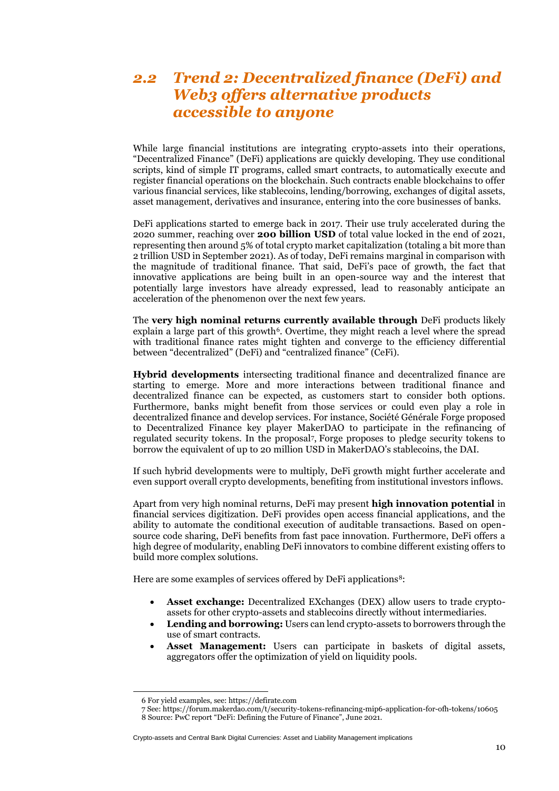## <span id="page-11-0"></span>*2.2 Trend 2: Decentralized finance (DeFi) and Web3 offers alternative products accessible to anyone*

While large financial institutions are integrating crypto-assets into their operations, "Decentralized Finance" (DeFi) applications are quickly developing. They use conditional scripts, kind of simple IT programs, called smart contracts, to automatically execute and register financial operations on the blockchain. Such contracts enable blockchains to offer various financial services, like stablecoins, lending/borrowing, exchanges of digital assets, asset management, derivatives and insurance, entering into the core businesses of banks.

DeFi applications started to emerge back in 2017. Their use truly accelerated during the 2020 summer, reaching over **200 billion USD** of total value locked in the end of 2021, representing then around 5% of total crypto market capitalization (totaling a bit more than 2 trillion USD in September 2021). As of today, DeFi remains marginal in comparison with the magnitude of traditional finance. That said, DeFi's pace of growth, the fact that innovative applications are being built in an open-source way and the interest that potentially large investors have already expressed, lead to reasonably anticipate an acceleration of the phenomenon over the next few years.

The **very high nominal returns currently available through** DeFi products likely explain a large part of this growth<sup>6</sup>. Overtime, they might reach a level where the spread with traditional finance rates might tighten and converge to the efficiency differential between "decentralized" (DeFi) and "centralized finance" (CeFi).

**Hybrid developments** intersecting traditional finance and decentralized finance are starting to emerge. More and more interactions between traditional finance and decentralized finance can be expected, as customers start to consider both options. Furthermore, banks might benefit from those services or could even play a role in decentralized finance and develop services. For instance, Société Générale Forge proposed to Decentralized Finance key player MakerDAO to participate in the refinancing of regulated security tokens. In the proposal<sup>7</sup> , Forge proposes to pledge security tokens to borrow the equivalent of up to 20 million USD in MakerDAO's stablecoins, the DAI.

If such hybrid developments were to multiply, DeFi growth might further accelerate and even support overall crypto developments, benefiting from institutional investors inflows.

Apart from very high nominal returns, DeFi may present **high innovation potential** in financial services digitization. DeFi provides open access financial applications, and the ability to automate the conditional execution of auditable transactions. Based on opensource code sharing, DeFi benefits from fast pace innovation. Furthermore, DeFi offers a high degree of modularity, enabling DeFi innovators to combine different existing offers to build more complex solutions.

Here are some examples of services offered by DeFi applications<sup>8</sup>:

- **Asset exchange:** Decentralized EXchanges (DEX) allow users to trade cryptoassets for other crypto-assets and stablecoins directly without intermediaries.
- **Lending and borrowing:** Users can lend crypto-assets to borrowers through the use of smart contracts.
- **Asset Management:** Users can participate in baskets of digital assets, aggregators offer the optimization of yield on liquidity pools.

<sup>6</sup> For yield examples, see[: https://defirate.com](https://defirate.com/)

<sup>7</sup> See[: https://forum.makerdao.com/t/security-tokens-refinancing-mip6-application-for-ofh-tokens/10605](https://forum.makerdao.com/t/security-tokens-refinancing-mip6-application-for-ofh-tokens/10605) 8 Source: PwC report "DeFi: Defining the Future of Finance", June 2021.

Crypto-assets and Central Bank Digital Currencies: Asset and Liability Management implications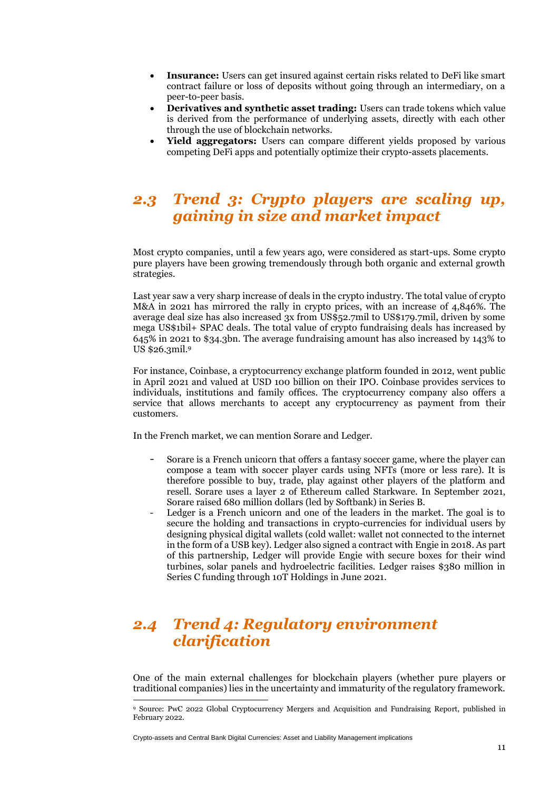- **Insurance:** Users can get insured against certain risks related to DeFi like smart contract failure or loss of deposits without going through an intermediary, on a peer-to-peer basis.
- **Derivatives and synthetic asset trading:** Users can trade tokens which value is derived from the performance of underlying assets, directly with each other through the use of blockchain networks.
- **Yield aggregators:** Users can compare different yields proposed by various competing DeFi apps and potentially optimize their crypto-assets placements.

### <span id="page-12-0"></span>*2.3 Trend 3: Crypto players are scaling up, gaining in size and market impact*

Most crypto companies, until a few years ago, were considered as start-ups. Some crypto pure players have been growing tremendously through both organic and external growth strategies.

Last year saw a very sharp increase of deals in the crypto industry. The total value of crypto M&A in 2021 has mirrored the rally in crypto prices, with an increase of 4,846%. The average deal size has also increased 3x from US\$52.7mil to US\$179.7mil, driven by some mega US\$1bil+ SPAC deals. The total value of crypto fundraising deals has increased by 645% in 2021 to \$34.3bn. The average fundraising amount has also increased by 143% to US \$26.3mil.<sup>9</sup>

For instance, Coinbase, a cryptocurrency exchange platform founded in 2012, went public in April 2021 and valued at USD 100 billion on their IPO. Coinbase provides services to individuals, institutions and family offices. The cryptocurrency company also offers a service that allows merchants to accept any cryptocurrency as payment from their customers.

In the French market, we can mention Sorare and Ledger.

- Sorare is a French unicorn that offers a fantasy soccer game, where the player can compose a team with soccer player cards using NFTs (more or less rare). It is therefore possible to buy, trade, play against other players of the platform and resell. Sorare uses a layer 2 of Ethereum called Starkware. In September 2021, Sorare raised 680 million dollars (led by Softbank) in Series B.
- Ledger is a French unicorn and one of the leaders in the market. The goal is to secure the holding and transactions in crypto-currencies for individual users by designing physical digital wallets (cold wallet: wallet not connected to the internet in the form of a USB key). Ledger also signed a contract with Engie in 2018. As part of this partnership, Ledger will provide Engie with secure boxes for their wind turbines, solar panels and hydroelectric facilities. Ledger raises \$380 million in Series C funding through 10T Holdings in June 2021.

## <span id="page-12-1"></span>*2.4 Trend 4: Regulatory environment clarification*

One of the main external challenges for blockchain players (whether pure players or traditional companies) lies in the uncertainty and immaturity of the regulatory framework.

<sup>9</sup> Source: PwC 2022 Global Cryptocurrency Mergers and Acquisition and Fundraising Report, published in February 2022.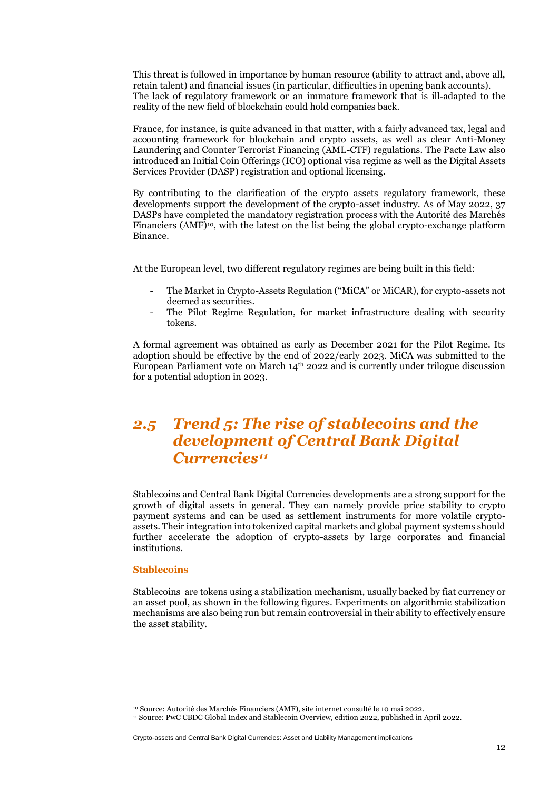This threat is followed in importance by human resource (ability to attract and, above all, retain talent) and financial issues (in particular, difficulties in opening bank accounts). The lack of regulatory framework or an immature framework that is ill-adapted to the reality of the new field of blockchain could hold companies back.

France, for instance, is quite advanced in that matter, with a fairly advanced tax, legal and accounting framework for blockchain and crypto assets, as well as clear Anti-Money Laundering and Counter Terrorist Financing (AML-CTF) regulations. The Pacte Law also introduced an Initial Coin Offerings (ICO) optional visa regime as well as the Digital Assets Services Provider (DASP) registration and optional licensing.

By contributing to the clarification of the crypto assets regulatory framework, these developments support the development of the crypto-asset industry. As of May 2022, 37 DASPs have completed the mandatory registration process with the Autorité des Marchés Financiers (AMF)10, with the latest on the list being the global crypto-exchange platform Binance.

At the European level, two different regulatory regimes are being built in this field:

- The Market in Crypto-Assets Regulation ("MiCA" or MiCAR), for crypto-assets not deemed as securities.
- The Pilot Regime Regulation, for market infrastructure dealing with security tokens.

A formal agreement was obtained as early as December 2021 for the Pilot Regime. Its adoption should be effective by the end of 2022/early 2023. MiCA was submitted to the European Parliament vote on March  $14<sup>th</sup>$  2022 and is currently under trilogue discussion for a potential adoption in 2023.

## <span id="page-13-0"></span>*2.5 Trend 5: The rise of stablecoins and the development of Central Bank Digital Currencies<sup>11</sup>*

Stablecoins and Central Bank Digital Currencies developments are a strong support for the growth of digital assets in general. They can namely provide price stability to crypto payment systems and can be used as settlement instruments for more volatile cryptoassets. Their integration into tokenized capital markets and global payment systems should further accelerate the adoption of crypto-assets by large corporates and financial institutions.

#### **Stablecoins**

Stablecoins are tokens using a stabilization mechanism, usually backed by fiat currency or an asset pool, as shown in the following figures. Experiments on algorithmic stabilization mechanisms are also being run but remain controversial in their ability to effectively ensure the asset stability.

<sup>10</sup> Source: Autorité des Marchés Financiers (AMF), site internet consulté le 10 mai 2022.

<sup>11</sup> Source: PwC CBDC Global Index and Stablecoin Overview, edition 2022, published in April 2022.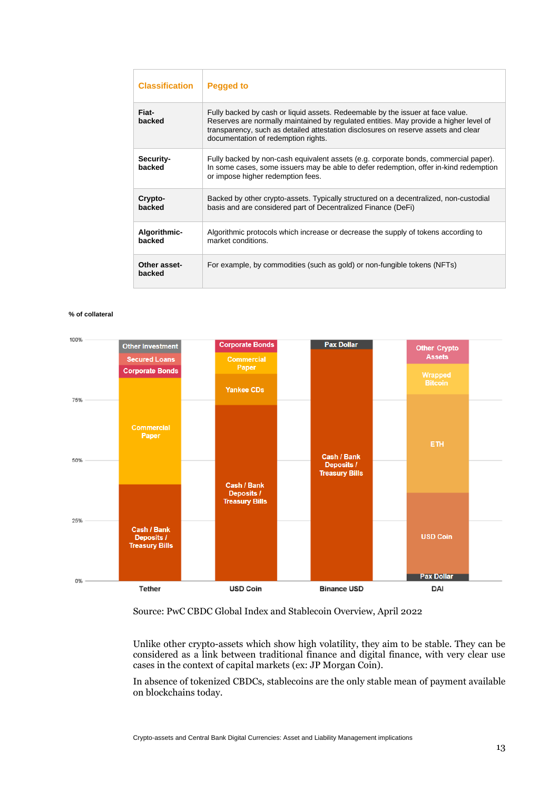| <b>Classification</b>  | <b>Pegged to</b>                                                                                                                                                                                                                                                                                     |
|------------------------|------------------------------------------------------------------------------------------------------------------------------------------------------------------------------------------------------------------------------------------------------------------------------------------------------|
| Fiat-<br>backed        | Fully backed by cash or liquid assets. Redeemable by the issuer at face value.<br>Reserves are normally maintained by regulated entities. May provide a higher level of<br>transparency, such as detailed attestation disclosures on reserve assets and clear<br>documentation of redemption rights. |
| Security-<br>backed    | Fully backed by non-cash equivalent assets (e.g. corporate bonds, commercial paper).<br>In some cases, some issuers may be able to defer redemption, offer in-kind redemption<br>or impose higher redemption fees.                                                                                   |
| Crypto-<br>backed      | Backed by other crypto-assets. Typically structured on a decentralized, non-custodial<br>basis and are considered part of Decentralized Finance (DeFi)                                                                                                                                               |
| Algorithmic-<br>backed | Algorithmic protocols which increase or decrease the supply of tokens according to<br>market conditions.                                                                                                                                                                                             |
| Other asset-<br>backed | For example, by commodities (such as gold) or non-fungible tokens (NFTs)                                                                                                                                                                                                                             |

#### **% of collateral**



#### Source: PwC CBDC Global Index and Stablecoin Overview, April 2022

Unlike other crypto-assets which show high volatility, they aim to be stable. They can be considered as a link between traditional finance and digital finance, with very clear use cases in the context of capital markets (ex: JP Morgan Coin).

In absence of tokenized CBDCs, stablecoins are the only stable mean of payment available on blockchains today.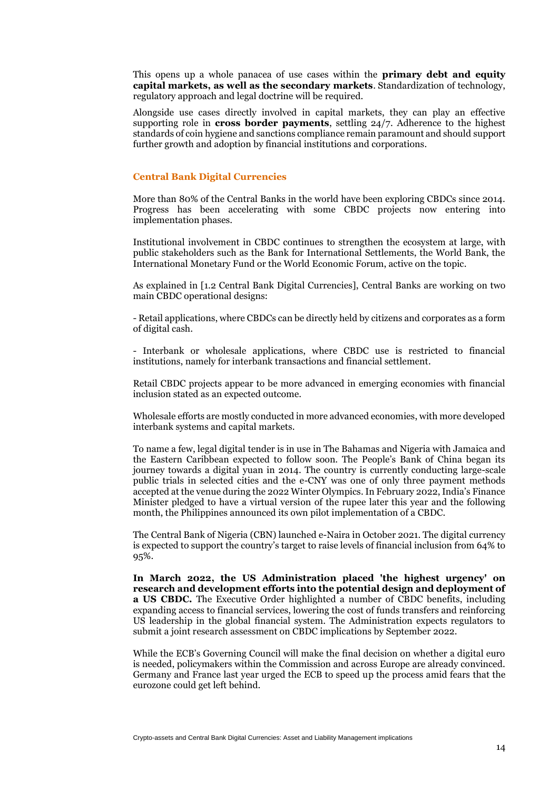This opens up a whole panacea of use cases within the **primary debt and equity capital markets, as well as the secondary markets**. Standardization of technology, regulatory approach and legal doctrine will be required.

Alongside use cases directly involved in capital markets, they can play an effective supporting role in **cross border payments**, settling 24/7. Adherence to the highest standards of coin hygiene and sanctions compliance remain paramount and should support further growth and adoption by financial institutions and corporations.

#### **Central Bank Digital Currencies**

More than 80% of the Central Banks in the world have been exploring CBDCs since 2014. Progress has been accelerating with some CBDC projects now entering into implementation phases.

Institutional involvement in CBDC continues to strengthen the ecosystem at large, with public stakeholders such as the Bank for International Settlements, the World Bank, the International Monetary Fund or the World Economic Forum, active on the topic.

As explained in [1.2 Central Bank Digital Currencies], Central Banks are working on two main CBDC operational designs:

- Retail applications, where CBDCs can be directly held by citizens and corporates as a form of digital cash.

- Interbank or wholesale applications, where CBDC use is restricted to financial institutions, namely for interbank transactions and financial settlement.

Retail CBDC projects appear to be more advanced in emerging economies with financial inclusion stated as an expected outcome.

Wholesale efforts are mostly conducted in more advanced economies, with more developed interbank systems and capital markets.

To name a few, legal digital tender is in use in The Bahamas and Nigeria with Jamaica and the Eastern Caribbean expected to follow soon. The People's Bank of China began its journey towards a digital yuan in 2014. The country is currently conducting large-scale public trials in selected cities and the e-CNY was one of only three payment methods accepted at the venue during the 2022 Winter Olympics. In February 2022, India's Finance Minister pledged to have a virtual version of the rupee later this year and the following month, the Philippines announced its own pilot implementation of a CBDC.

The Central Bank of Nigeria (CBN) launched e-Naira in October 2021. The digital currency is expected to support the country's target to raise levels of financial inclusion from 64% to 95%.

**In March 2022, the US Administration placed 'the highest urgency' on research and development efforts into the potential design and deployment of a US CBDC.** The Executive Order highlighted a number of CBDC benefits, including expanding access to financial services, lowering the cost of funds transfers and reinforcing US leadership in the global financial system. The Administration expects regulators to submit a joint research assessment on CBDC implications by September 2022.

While the ECB's Governing Council will make the final decision on whether a digital euro is needed, policymakers within the Commission and across Europe are already convinced. Germany and France last year urged the ECB to speed up the process amid fears that the eurozone could get left behind.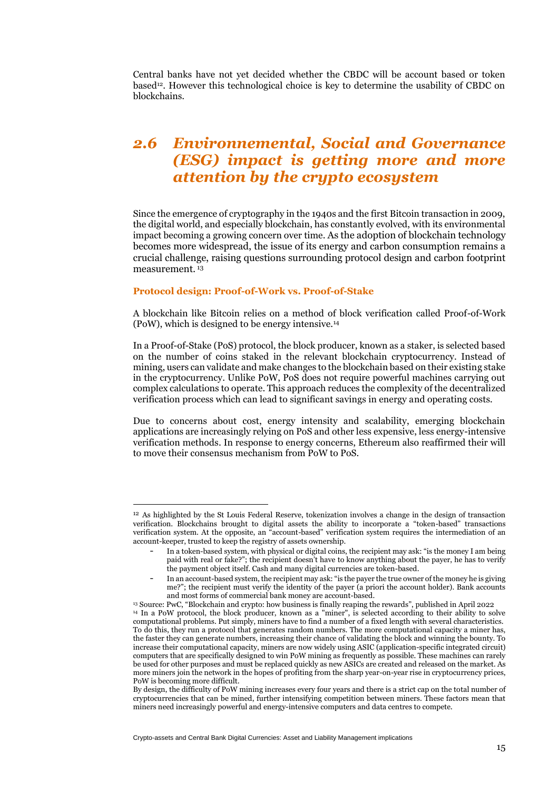Central banks have not yet decided whether the CBDC will be account based or token based<sup>12</sup>. However this technological choice is key to determine the usability of CBDC on blockchains.

## <span id="page-16-0"></span>*2.6 Environnemental, Social and Governance (ESG) impact is getting more and more attention by the crypto ecosystem*

Since the emergence of cryptography in the 1940s and the first Bitcoin transaction in 2009, the digital world, and especially blockchain, has constantly evolved, with its environmental impact becoming a growing concern over time. As the adoption of blockchain technology becomes more widespread, the issue of its energy and carbon consumption remains a crucial challenge, raising questions surrounding protocol design and carbon footprint measurement. <sup>13</sup>

#### **Protocol design: Proof-of-Work vs. Proof-of-Stake**

A blockchain like Bitcoin relies on a method of block verification called Proof-of-Work (PoW), which is designed to be energy intensive.<sup>14</sup>

In a Proof-of-Stake (PoS) protocol, the block producer, known as a staker, is selected based on the number of coins staked in the relevant blockchain cryptocurrency. Instead of mining, users can validate and make changes to the blockchain based on their existing stake in the cryptocurrency. Unlike PoW, PoS does not require powerful machines carrying out complex calculations to operate. This approach reduces the complexity of the decentralized verification process which can lead to significant savings in energy and operating costs.

Due to concerns about cost, energy intensity and scalability, emerging blockchain applications are increasingly relying on PoS and other less expensive, less energy-intensive verification methods. In response to energy concerns, Ethereum also reaffirmed their will to move their consensus mechanism from PoW to PoS.

<sup>12</sup> As highlighted by the St Louis Federal Reserve, tokenization involves a change in the design of transaction verification. Blockchains brought to digital assets the ability to incorporate a "token-based" transactions verification system. At the opposite, an "account-based" verification system requires the intermediation of an account-keeper, trusted to keep the registry of assets ownership.

In a token-based system, with physical or digital coins, the recipient may ask: "is the money I am being paid with real or fake?"; the recipient doesn't have to know anything about the payer, he has to verify the payment object itself. Cash and many digital currencies are token-based.

In an account-based system, the recipient may ask: "is the payer the true owner of the money he is giving me?"; the recipient must verify the identity of the payer (a priori the account holder). Bank accounts and most forms of commercial bank money are account-based.

<sup>13</sup> Source: PwC, "Blockchain and crypto: how business is finally reaping the rewards", published in April 2022

<sup>14</sup> In a PoW protocol, the block producer, known as a "miner", is selected according to their ability to solve computational problems. Put simply, miners have to find a number of a fixed length with several characteristics. To do this, they run a protocol that generates random numbers. The more computational capacity a miner has, the faster they can generate numbers, increasing their chance of validating the block and winning the bounty. To increase their computational capacity, miners are now widely using ASIC (application-specific integrated circuit) computers that are specifically designed to win PoW mining as frequently as possible. These machines can rarely be used for other purposes and must be replaced quickly as new ASICs are created and released on the market. As more miners join the network in the hopes of profiting from the sharp year-on-year rise in cryptocurrency prices, PoW is becoming more difficult.

By design, the difficulty of PoW mining increases every four years and there is a strict cap on the total number of cryptocurrencies that can be mined, further intensifying competition between miners. These factors mean that miners need increasingly powerful and energy-intensive computers and data centres to compete.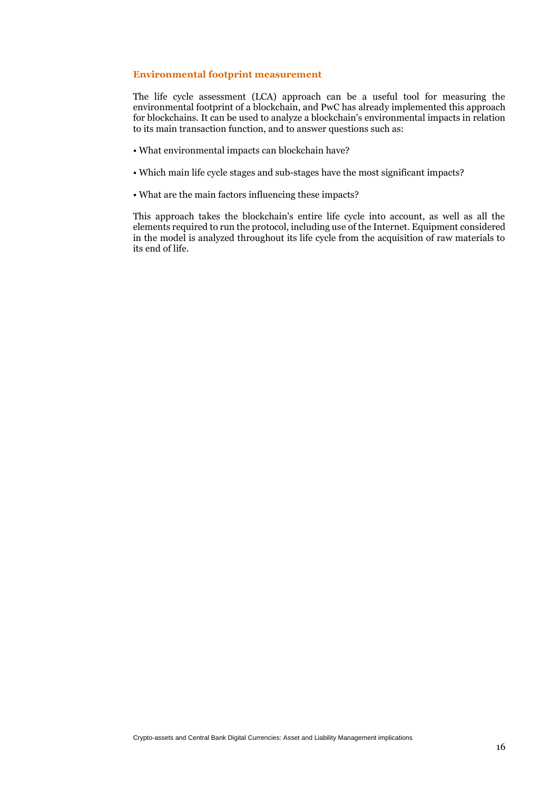#### **Environmental footprint measurement**

The life cycle assessment (LCA) approach can be a useful tool for measuring the environmental footprint of a blockchain, and PwC has already implemented this approach for blockchains. It can be used to analyze a blockchain's environmental impacts in relation to its main transaction function, and to answer questions such as:

- What environmental impacts can blockchain have?
- Which main life cycle stages and sub-stages have the most significant impacts?
- What are the main factors influencing these impacts?

This approach takes the blockchain's entire life cycle into account, as well as all the elements required to run the protocol, including use of the Internet. Equipment considered in the model is analyzed throughout its life cycle from the acquisition of raw materials to its end of life.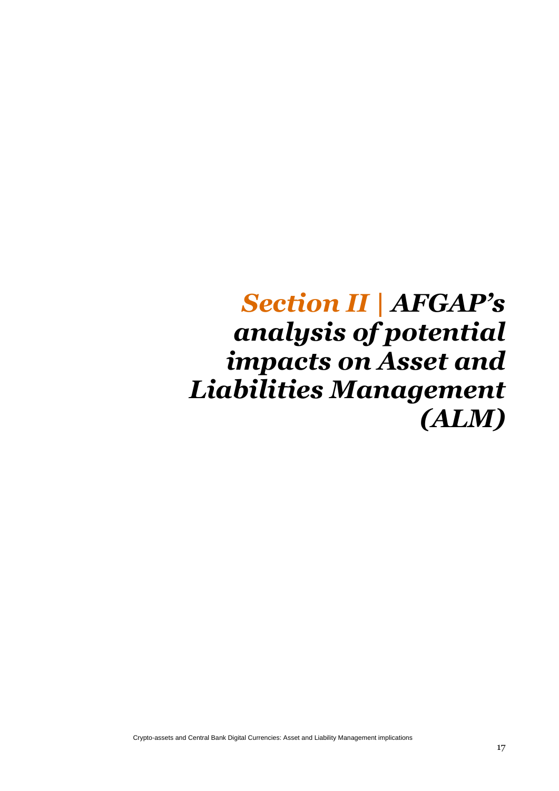## <span id="page-18-0"></span>*Section II | AFGAP's analysis of potential impacts on Asset and Liabilities Management (ALM)*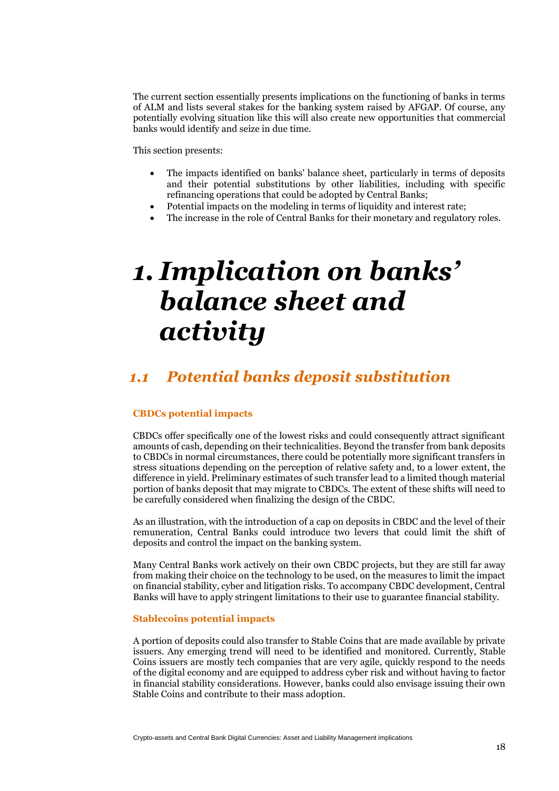The current section essentially presents implications on the functioning of banks in terms of ALM and lists several stakes for the banking system raised by AFGAP. Of course, any potentially evolving situation like this will also create new opportunities that commercial banks would identify and seize in due time.

This section presents:

- The impacts identified on banks' balance sheet, particularly in terms of deposits and their potential substitutions by other liabilities, including with specific refinancing operations that could be adopted by Central Banks;
- Potential impacts on the modeling in terms of liquidity and interest rate:
- The increase in the role of Central Banks for their monetary and regulatory roles.

# <span id="page-19-0"></span>*1. Implication on banks' balance sheet and activity*

### <span id="page-19-1"></span>*1.1 Potential banks deposit substitution*

#### **CBDCs potential impacts**

CBDCs offer specifically one of the lowest risks and could consequently attract significant amounts of cash, depending on their technicalities. Beyond the transfer from bank deposits to CBDCs in normal circumstances, there could be potentially more significant transfers in stress situations depending on the perception of relative safety and, to a lower extent, the difference in yield. Preliminary estimates of such transfer lead to a limited though material portion of banks deposit that may migrate to CBDCs. The extent of these shifts will need to be carefully considered when finalizing the design of the CBDC.

As an illustration, with the introduction of a cap on deposits in CBDC and the level of their remuneration, Central Banks could introduce two levers that could limit the shift of deposits and control the impact on the banking system.

Many Central Banks work actively on their own CBDC projects, but they are still far away from making their choice on the technology to be used, on the measures to limit the impact on financial stability, cyber and litigation risks. To accompany CBDC development, Central Banks will have to apply stringent limitations to their use to guarantee financial stability.

#### **Stablecoins potential impacts**

A portion of deposits could also transfer to Stable Coins that are made available by private issuers. Any emerging trend will need to be identified and monitored. Currently, Stable Coins issuers are mostly tech companies that are very agile, quickly respond to the needs of the digital economy and are equipped to address cyber risk and without having to factor in financial stability considerations. However, banks could also envisage issuing their own Stable Coins and contribute to their mass adoption.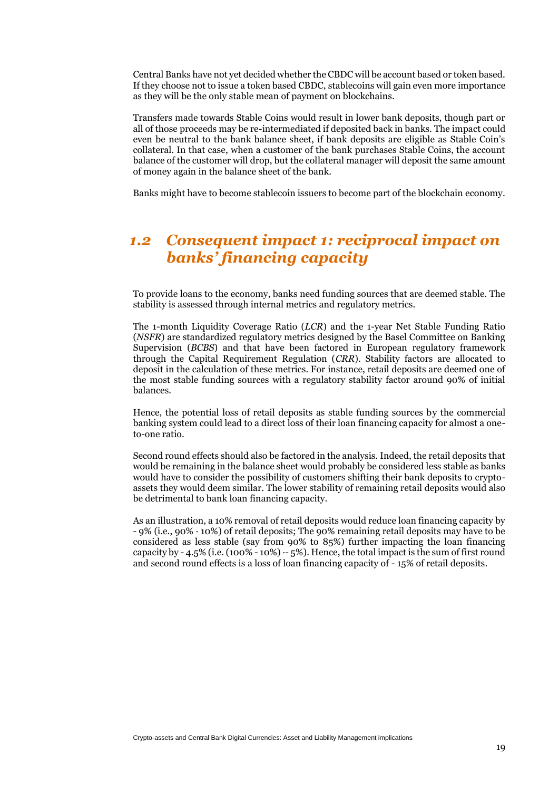Central Banks have not yet decided whether the CBDC will be account based or token based. If they choose not to issue a token based CBDC, stablecoins will gain even more importance as they will be the only stable mean of payment on blockchains.

Transfers made towards Stable Coins would result in lower bank deposits, though part or all of those proceeds may be re-intermediated if deposited back in banks. The impact could even be neutral to the bank balance sheet, if bank deposits are eligible as Stable Coin's collateral. In that case, when a customer of the bank purchases Stable Coins, the account balance of the customer will drop, but the collateral manager will deposit the same amount of money again in the balance sheet of the bank.

Banks might have to become stablecoin issuers to become part of the blockchain economy.

## <span id="page-20-0"></span>*1.2 Consequent impact 1: reciprocal impact on banks' financing capacity*

To provide loans to the economy, banks need funding sources that are deemed stable. The stability is assessed through internal metrics and regulatory metrics.

The 1-month Liquidity Coverage Ratio (*LCR*) and the 1-year Net Stable Funding Ratio (*NSFR*) are standardized regulatory metrics designed by the Basel Committee on Banking Supervision (*BCBS*) and that have been factored in European regulatory framework through the Capital Requirement Regulation (*CRR*). Stability factors are allocated to deposit in the calculation of these metrics. For instance, retail deposits are deemed one of the most stable funding sources with a regulatory stability factor around 90% of initial balances.

Hence, the potential loss of retail deposits as stable funding sources by the commercial banking system could lead to a direct loss of their loan financing capacity for almost a oneto-one ratio.

Second round effects should also be factored in the analysis. Indeed, the retail deposits that would be remaining in the balance sheet would probably be considered less stable as banks would have to consider the possibility of customers shifting their bank deposits to cryptoassets they would deem similar. The lower stability of remaining retail deposits would also be detrimental to bank loan financing capacity.

As an illustration, a 10% removal of retail deposits would reduce loan financing capacity by - 9% (i.e., 90% ∙ 10%) of retail deposits; The 90% remaining retail deposits may have to be considered as less stable (say from 90% to 85%) further impacting the loan financing capacity by - 4.5% (i.e.  $(100\% - 10\%) - 5\%$ ). Hence, the total impact is the sum of first round and second round effects is a loss of loan financing capacity of - 15% of retail deposits.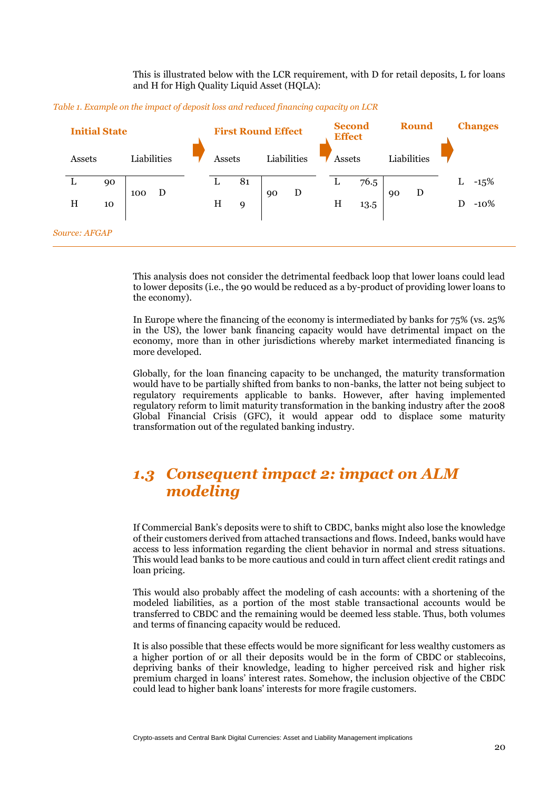This is illustrated below with the LCR requirement, with D for retail deposits, L for loans and H for High Quality Liquid Asset (HQLA):

| Table 1. Example on the impact of deposit loss and reduced financing capacity on LCR |  |  |  |
|--------------------------------------------------------------------------------------|--|--|--|
|                                                                                      |  |  |  |

| <b>Initial State</b> |                             |          | <b>First Round Effect</b> |   |        |         | <b>Second</b><br><b>Effect</b> |             | <b>Round</b> |        |              | <b>Changes</b> |             |   |                  |
|----------------------|-----------------------------|----------|---------------------------|---|--------|---------|--------------------------------|-------------|--------------|--------|--------------|----------------|-------------|---|------------------|
|                      | Assets                      |          | Liabilities               |   | Assets |         |                                | Liabilities |              |        | Assets       |                | Liabilities |   |                  |
|                      | L<br>H                      | 90<br>10 | 100                       | D | L<br>H | 81<br>9 | 90                             | D           |              | L<br>H | 76.5<br>13.5 | 90             | D           | L | $-15%$<br>$-10%$ |
|                      | <i><b>Source: AFGAP</b></i> |          |                           |   |        |         |                                |             |              |        |              |                |             |   |                  |

This analysis does not consider the detrimental feedback loop that lower loans could lead to lower deposits (i.e., the 90 would be reduced as a by-product of providing lower loans to the economy).

In Europe where the financing of the economy is intermediated by banks for 75% (vs. 25% in the US), the lower bank financing capacity would have detrimental impact on the economy, more than in other jurisdictions whereby market intermediated financing is more developed.

Globally, for the loan financing capacity to be unchanged, the maturity transformation would have to be partially shifted from banks to non-banks, the latter not being subject to regulatory requirements applicable to banks. However, after having implemented regulatory reform to limit maturity transformation in the banking industry after the 2008 Global Financial Crisis (GFC), it would appear odd to displace some maturity transformation out of the regulated banking industry.

### <span id="page-21-0"></span>*1.3 Consequent impact 2: impact on ALM modeling*

If Commercial Bank's deposits were to shift to CBDC, banks might also lose the knowledge of their customers derived from attached transactions and flows. Indeed, banks would have access to less information regarding the client behavior in normal and stress situations. This would lead banks to be more cautious and could in turn affect client credit ratings and loan pricing.

This would also probably affect the modeling of cash accounts: with a shortening of the modeled liabilities, as a portion of the most stable transactional accounts would be transferred to CBDC and the remaining would be deemed less stable. Thus, both volumes and terms of financing capacity would be reduced.

It is also possible that these effects would be more significant for less wealthy customers as a higher portion of or all their deposits would be in the form of CBDC or stablecoins, depriving banks of their knowledge, leading to higher perceived risk and higher risk premium charged in loans' interest rates. Somehow, the inclusion objective of the CBDC could lead to higher bank loans' interests for more fragile customers.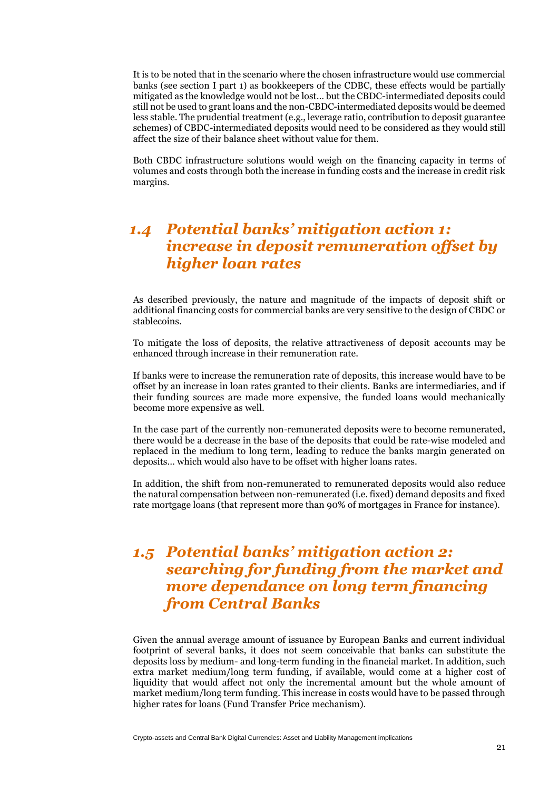It is to be noted that in the scenario where the chosen infrastructure would use commercial banks (see section I part 1) as bookkeepers of the CDBC, these effects would be partially mitigated as the knowledge would not be lost… but the CBDC-intermediated deposits could still not be used to grant loans and the non-CBDC-intermediated deposits would be deemed less stable. The prudential treatment (e.g., leverage ratio, contribution to deposit guarantee schemes) of CBDC-intermediated deposits would need to be considered as they would still affect the size of their balance sheet without value for them.

Both CBDC infrastructure solutions would weigh on the financing capacity in terms of volumes and costs through both the increase in funding costs and the increase in credit risk margins.

## <span id="page-22-0"></span>*1.4 Potential banks' mitigation action 1: increase in deposit remuneration offset by higher loan rates*

As described previously, the nature and magnitude of the impacts of deposit shift or additional financing costs for commercial banks are very sensitive to the design of CBDC or stablecoins.

To mitigate the loss of deposits, the relative attractiveness of deposit accounts may be enhanced through increase in their remuneration rate.

If banks were to increase the remuneration rate of deposits, this increase would have to be offset by an increase in loan rates granted to their clients. Banks are intermediaries, and if their funding sources are made more expensive, the funded loans would mechanically become more expensive as well.

In the case part of the currently non-remunerated deposits were to become remunerated, there would be a decrease in the base of the deposits that could be rate-wise modeled and replaced in the medium to long term, leading to reduce the banks margin generated on deposits… which would also have to be offset with higher loans rates.

In addition, the shift from non-remunerated to remunerated deposits would also reduce the natural compensation between non-remunerated (i.e. fixed) demand deposits and fixed rate mortgage loans (that represent more than 90% of mortgages in France for instance).

## <span id="page-22-1"></span>*1.5 Potential banks' mitigation action 2: searching for funding from the market and more dependance on long term financing from Central Banks*

Given the annual average amount of issuance by European Banks and current individual footprint of several banks, it does not seem conceivable that banks can substitute the deposits loss by medium- and long-term funding in the financial market. In addition, such extra market medium/long term funding, if available, would come at a higher cost of liquidity that would affect not only the incremental amount but the whole amount of market medium/long term funding. This increase in costs would have to be passed through higher rates for loans (Fund Transfer Price mechanism).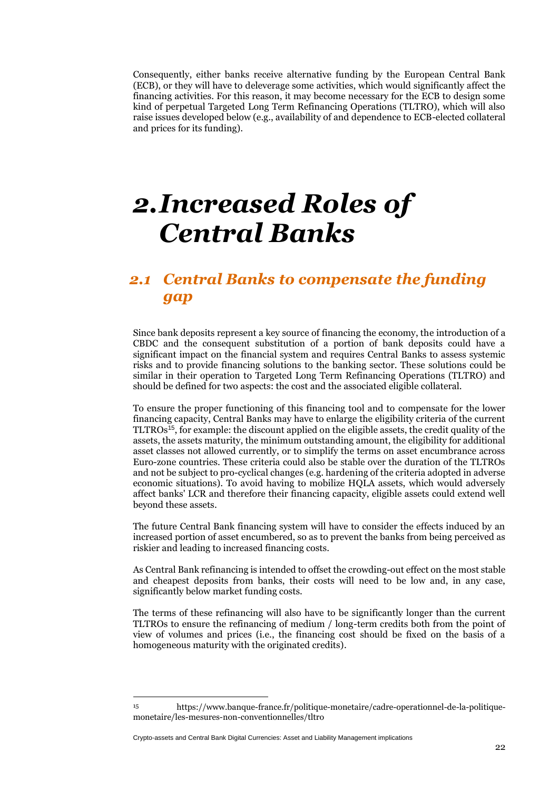Consequently, either banks receive alternative funding by the European Central Bank (ECB), or they will have to deleverage some activities, which would significantly affect the financing activities. For this reason, it may become necessary for the ECB to design some kind of perpetual Targeted Long Term Refinancing Operations (TLTRO), which will also raise issues developed below (e.g., availability of and dependence to ECB-elected collateral and prices for its funding).

# <span id="page-23-0"></span>*2.Increased Roles of Central Banks*

## <span id="page-23-1"></span>*2.1 Central Banks to compensate the funding gap*

Since bank deposits represent a key source of financing the economy, the introduction of a CBDC and the consequent substitution of a portion of bank deposits could have a significant impact on the financial system and requires Central Banks to assess systemic risks and to provide financing solutions to the banking sector. These solutions could be similar in their operation to Targeted Long Term Refinancing Operations (TLTRO) and should be defined for two aspects: the cost and the associated eligible collateral.

To ensure the proper functioning of this financing tool and to compensate for the lower financing capacity, Central Banks may have to enlarge the eligibility criteria of the current TLTROs<sup>15</sup>, for example: the discount applied on the eligible assets, the credit quality of the assets, the assets maturity, the minimum outstanding amount, the eligibility for additional asset classes not allowed currently, or to simplify the terms on asset encumbrance across Euro-zone countries. These criteria could also be stable over the duration of the TLTROs and not be subject to pro-cyclical changes (e.g. hardening of the criteria adopted in adverse economic situations). To avoid having to mobilize HQLA assets, which would adversely affect banks' LCR and therefore their financing capacity, eligible assets could extend well beyond these assets.

The future Central Bank financing system will have to consider the effects induced by an increased portion of asset encumbered, so as to prevent the banks from being perceived as riskier and leading to increased financing costs.

As Central Bank refinancing is intended to offset the crowding-out effect on the most stable and cheapest deposits from banks, their costs will need to be low and, in any case, significantly below market funding costs.

The terms of these refinancing will also have to be significantly longer than the current TLTROs to ensure the refinancing of medium / long-term credits both from the point of view of volumes and prices (i.e., the financing cost should be fixed on the basis of a homogeneous maturity with the originated credits).

Crypto-assets and Central Bank Digital Currencies: Asset and Liability Management implications

<sup>15</sup> https://www.banque-france.fr/politique-monetaire/cadre-operationnel-de-la-politiquemonetaire/les-mesures-non-conventionnelles/tltro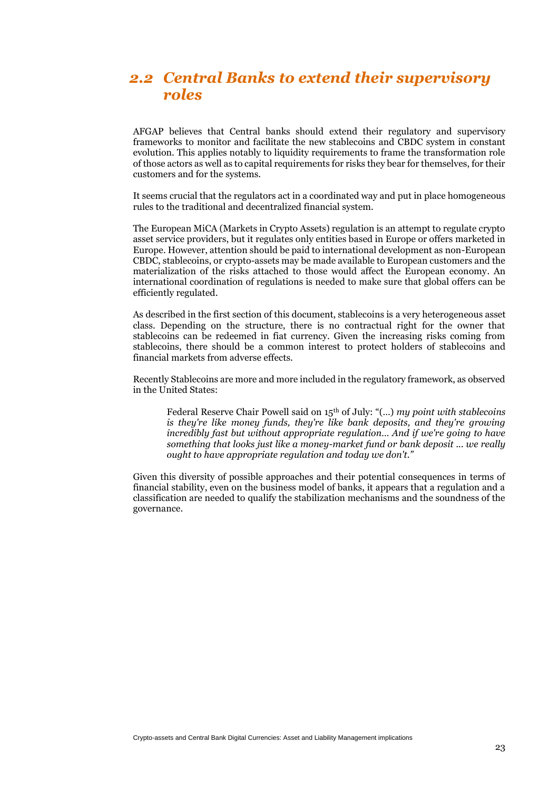## <span id="page-24-0"></span>*2.2 Central Banks to extend their supervisory roles*

AFGAP believes that Central banks should extend their regulatory and supervisory frameworks to monitor and facilitate the new stablecoins and CBDC system in constant evolution. This applies notably to liquidity requirements to frame the transformation role of those actors as well as to capital requirements for risks they bear for themselves, for their customers and for the systems.

It seems crucial that the regulators act in a coordinated way and put in place homogeneous rules to the traditional and decentralized financial system.

The European MiCA (Markets in Crypto Assets) regulation is an attempt to regulate crypto asset service providers, but it regulates only entities based in Europe or offers marketed in Europe. However, attention should be paid to international development as non-European CBDC, stablecoins, or crypto-assets may be made available to European customers and the materialization of the risks attached to those would affect the European economy. An international coordination of regulations is needed to make sure that global offers can be efficiently regulated.

As described in the first section of this document, stablecoins is a very heterogeneous asset class. Depending on the structure, there is no contractual right for the owner that stablecoins can be redeemed in fiat currency. Given the increasing risks coming from stablecoins, there should be a common interest to protect holders of stablecoins and financial markets from adverse effects.

Recently Stablecoins are more and more included in the regulatory framework, as observed in the United States:

Federal Reserve Chair Powell said on 15th of July: "(…) *my point with stablecoins is they're like money funds, they're like bank deposits, and they're growing incredibly fast but without appropriate regulation… And if we're going to have something that looks just like a money-market fund or bank deposit ... we really ought to have appropriate regulation and today we don't."*

Given this diversity of possible approaches and their potential consequences in terms of financial stability, even on the business model of banks, it appears that a regulation and a classification are needed to qualify the stabilization mechanisms and the soundness of the governance.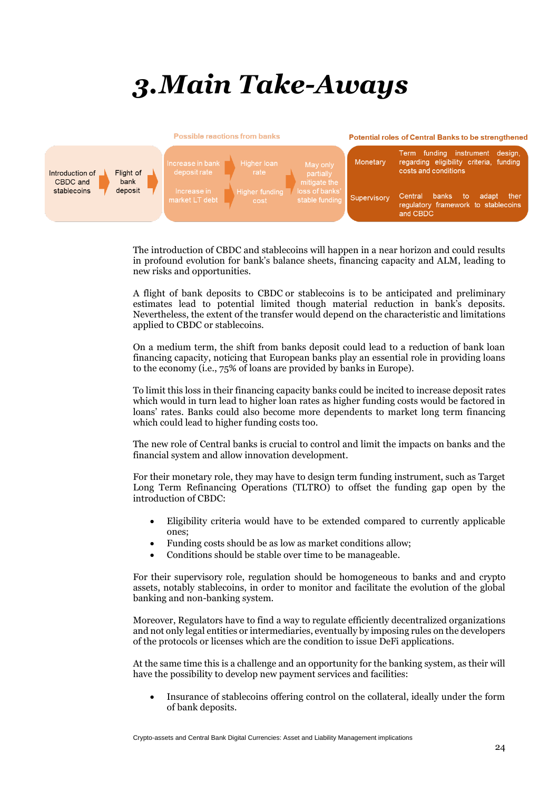# <span id="page-25-0"></span>*3.Main Take-Aways*



The introduction of CBDC and stablecoins will happen in a near horizon and could results in profound evolution for bank's balance sheets, financing capacity and ALM, leading to new risks and opportunities.

A flight of bank deposits to CBDC or stablecoins is to be anticipated and preliminary estimates lead to potential limited though material reduction in bank's deposits. Nevertheless, the extent of the transfer would depend on the characteristic and limitations applied to CBDC or stablecoins.

On a medium term, the shift from banks deposit could lead to a reduction of bank loan financing capacity, noticing that European banks play an essential role in providing loans to the economy (i.e., 75% of loans are provided by banks in Europe).

To limit this loss in their financing capacity banks could be incited to increase deposit rates which would in turn lead to higher loan rates as higher funding costs would be factored in loans' rates. Banks could also become more dependents to market long term financing which could lead to higher funding costs too.

The new role of Central banks is crucial to control and limit the impacts on banks and the financial system and allow innovation development.

For their monetary role, they may have to design term funding instrument, such as Target Long Term Refinancing Operations (TLTRO) to offset the funding gap open by the introduction of CBDC:

- Eligibility criteria would have to be extended compared to currently applicable ones;
- Funding costs should be as low as market conditions allow;
- Conditions should be stable over time to be manageable.

For their supervisory role, regulation should be homogeneous to banks and and crypto assets, notably stablecoins, in order to monitor and facilitate the evolution of the global banking and non-banking system.

Moreover, Regulators have to find a way to regulate efficiently decentralized organizations and not only legal entities or intermediaries, eventually by imposing rules on the developers of the protocols or licenses which are the condition to issue DeFi applications.

At the same time this is a challenge and an opportunity for the banking system, as their will have the possibility to develop new payment services and facilities:

• Insurance of stablecoins offering control on the collateral, ideally under the form of bank deposits.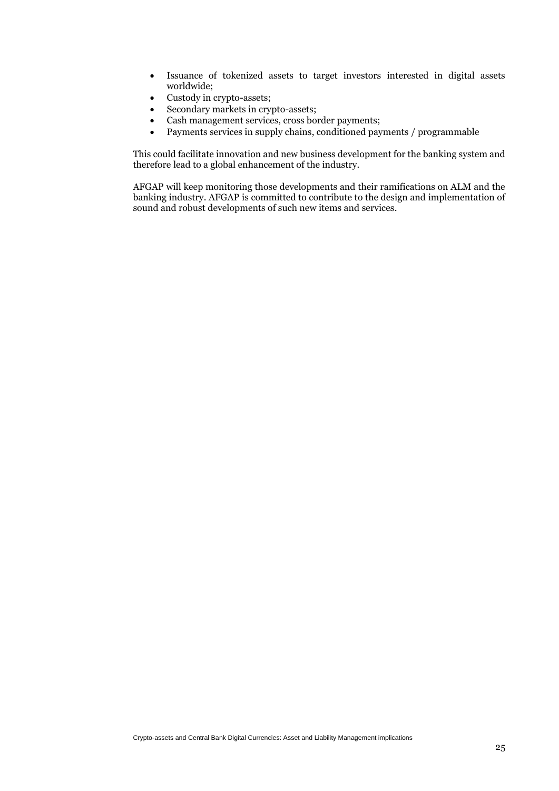- Issuance of tokenized assets to target investors interested in digital assets worldwide;
- Custody in crypto-assets;
- Secondary markets in crypto-assets;
- Cash management services, cross border payments;
- Payments services in supply chains, conditioned payments / programmable

This could facilitate innovation and new business development for the banking system and therefore lead to a global enhancement of the industry.

AFGAP will keep monitoring those developments and their ramifications on ALM and the banking industry. AFGAP is committed to contribute to the design and implementation of sound and robust developments of such new items and services.